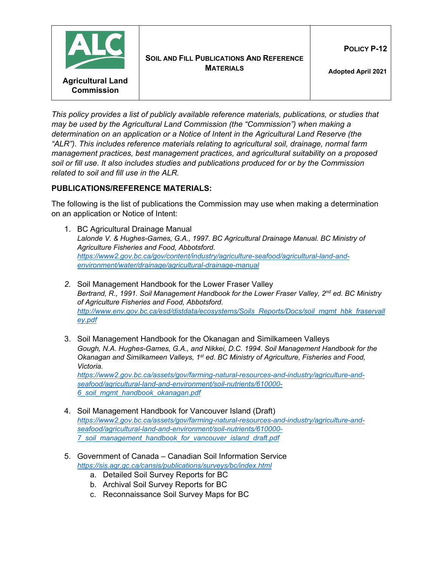

*This policy provides a list of publicly available reference materials, publications, or studies that may be used by the Agricultural Land Commission (the "Commission") when making a determination on an application or a Notice of Intent in the Agricultural Land Reserve (the "ALR"). This includes reference materials relating to agricultural soil, drainage, normal farm management practices, best management practices, and agricultural suitability on a proposed soil or fill use. It also includes studies and publications produced for or by the Commission related to soil and fill use in the ALR.*

## **PUBLICATIONS/REFERENCE MATERIALS:**

The following is the list of publications the Commission may use when making a determination on an application or Notice of Intent:

- 1. BC Agricultural Drainage Manual Lalonde V. & Hughes-Games, G.A., 1997. BC Agricultural Drainage Manual. BC Ministry of *Agriculture Fisheries and Food, Abbotsford. [https://www2.gov.bc.ca/gov/content/industry/agriculture-seafood/agricultural-land-and](https://www2.gov.bc.ca/gov/content/industry/agriculture-seafood/agricultural-land-and-environment/water/drainage/agricultural-drainage-manual)[environment/water/drainage/agricultural-drainage-manual](https://www2.gov.bc.ca/gov/content/industry/agriculture-seafood/agricultural-land-and-environment/water/drainage/agricultural-drainage-manual)*
- *2.* Soil Management Handbook for the Lower Fraser Valley *Bertrand, R., 1991. Soil Management Handbook for the Lower Fraser Valley, 2nd ed. BC Ministry of Agriculture Fisheries and Food, Abbotsford. [http://www.env.gov.bc.ca/esd/distdata/ecosystems/Soils\\_Reports/Docs/soil\\_mgmt\\_hbk\\_fraservall](http://www.env.gov.bc.ca/esd/distdata/ecosystems/Soils_Reports/Docs/soil_mgmt_hbk_fraservalley.pdf) [ey.pdf](http://www.env.gov.bc.ca/esd/distdata/ecosystems/Soils_Reports/Docs/soil_mgmt_hbk_fraservalley.pdf)*
- 3. Soil Management Handbook for the Okanagan and Similkameen Valleys *Gough, N.A. Hughes-Games, G.A., and Nikkei, D.C. 1994. Soil Management Handbook for the Okanagan and Similkameen Valleys, 1st ed. BC Ministry of Agriculture, Fisheries and Food, Victoria. [https://www2.gov.bc.ca/assets/gov/farming-natural-resources-and-industry/agriculture-and](https://www2.gov.bc.ca/assets/gov/farming-natural-resources-and-industry/agriculture-and-seafood/agricultural-land-and-environment/soil-nutrients/610000-6_soil_mgmt_handbook_okanagan.pdf)[seafood/agricultural-land-and-environment/soil-nutrients/610000-](https://www2.gov.bc.ca/assets/gov/farming-natural-resources-and-industry/agriculture-and-seafood/agricultural-land-and-environment/soil-nutrients/610000-6_soil_mgmt_handbook_okanagan.pdf) [6\\_soil\\_mgmt\\_handbook\\_okanagan.pdf](https://www2.gov.bc.ca/assets/gov/farming-natural-resources-and-industry/agriculture-and-seafood/agricultural-land-and-environment/soil-nutrients/610000-6_soil_mgmt_handbook_okanagan.pdf)*
- 4. Soil Management Handbook for Vancouver Island (Draft) *[https://www2.gov.bc.ca/assets/gov/farming-natural-resources-and-industry/agriculture-and](https://www2.gov.bc.ca/assets/gov/farming-natural-resources-and-industry/agriculture-and-seafood/agricultural-land-and-environment/soil-nutrients/610000-7_soil_management_handbook_for_vancouver_island_draft.pdf)[seafood/agricultural-land-and-environment/soil-nutrients/610000-](https://www2.gov.bc.ca/assets/gov/farming-natural-resources-and-industry/agriculture-and-seafood/agricultural-land-and-environment/soil-nutrients/610000-7_soil_management_handbook_for_vancouver_island_draft.pdf) [7\\_soil\\_management\\_handbook\\_for\\_vancouver\\_island\\_draft.pdf](https://www2.gov.bc.ca/assets/gov/farming-natural-resources-and-industry/agriculture-and-seafood/agricultural-land-and-environment/soil-nutrients/610000-7_soil_management_handbook_for_vancouver_island_draft.pdf)*
- 5. Government of Canada Canadian Soil Information Service *<https://sis.agr.gc.ca/cansis/publications/surveys/bc/index.html>*
	- a. Detailed Soil Survey Reports for BC
	- b. Archival Soil Survey Reports for BC
	- c. Reconnaissance Soil Survey Maps for BC